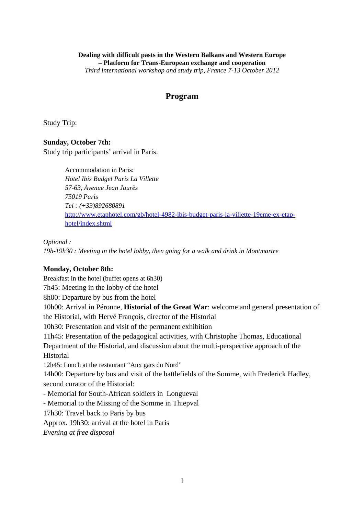# **Dealing with difficult pasts in the Western Balkans and Western Europe – Platform for Trans-European exchange and cooperation**

*Third international workshop and study trip, France 7-13 October 2012* 

# **Program**

Study Trip:

# **Sunday, October 7th:**

Study trip participants' arrival in Paris.

Accommodation in Paris: *Hotel Ibis Budget Paris La Villette 57-63, Avenue Jean Jaurès 75019 Paris Tel : (+33)892680891*  http://www.etaphotel.com/gb/hotel-4982-ibis-budget-paris-la-villette-19eme-ex-etaphotel/index.shtml

*Optional :* 

*19h-19h30 : Meeting in the hotel lobby, then going for a walk and drink in Montmartre* 

# **Monday, October 8th:**

Breakfast in the hotel (buffet opens at 6h30) 7h45: Meeting in the lobby of the hotel 8h00: Departure by bus from the hotel 10h00: Arrival in Péronne, **Historial of the Great War**: welcome and general presentation of the Historial, with Hervé François, director of the Historial 10h30: Presentation and visit of the permanent exhibition 11h45: Presentation of the pedagogical activities, with Christophe Thomas, Educational Department of the Historial, and discussion about the multi-perspective approach of the Historial 12h45: Lunch at the restaurant "Aux gars du Nord" 14h00: Departure by bus and visit of the battlefields of the Somme, with Frederick Hadley, second curator of the Historial: - Memorial for South-African soldiers in Longueval - Memorial to the Missing of the Somme in Thiepval 17h30: Travel back to Paris by bus Approx. 19h30: arrival at the hotel in Paris *Evening at free disposal*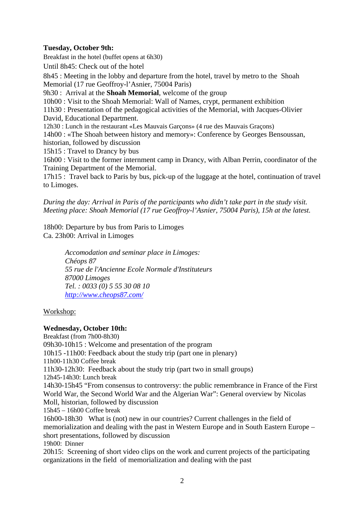# **Tuesday, October 9th:**

Breakfast in the hotel (buffet opens at 6h30) Until 8h45: Check out of the hotel 8h45 : Meeting in the lobby and departure from the hotel, travel by metro to the Shoah Memorial (17 rue Geoffroy-l'Asnier, 75004 Paris) 9h30 : Arrival at the **Shoah Memorial**, welcome of the group 10h00 : Visit to the Shoah Memorial: Wall of Names, crypt, permanent exhibition 11h30 : Presentation of the pedagogical activities of the Memorial, with Jacques-Olivier David, Educational Department. 12h30 : Lunch in the restaurant «Les Mauvais Garçons» (4 rue des Mauvais Graçons) 14h00 : «The Shoah between history and memory»: Conference by Georges Bensoussan, historian, followed by discussion 15h15 : Travel to Drancy by bus 16h00 : Visit to the former internment camp in Drancy, with Alban Perrin, coordinator of the Training Department of the Memorial.

17h15 : Travel back to Paris by bus, pick-up of the luggage at the hotel, continuation of travel to Limoges.

*During the day: Arrival in Paris of the participants who didn't take part in the study visit. Meeting place: Shoah Memorial (17 rue Geoffroy-l'Asnier, 75004 Paris), 15h at the latest.* 

18h00: Departure by bus from Paris to Limoges Ca. 23h00: Arrival in Limoges

> *Accomodation and seminar place in Limoges: Chéops 87 55 rue de l'Ancienne Ecole Normale d'Instituteurs 87000 Limoges Tel. : 0033 (0) 5 55 30 08 10 http://www.cheops87.com/*

### Workshop:

### **Wednesday, October 10th:**

Breakfast (from 7h00-8h30) 09h30-10h15 : Welcome and presentation of the program 10h15 -11h00: Feedback about the study trip (part one in plenary) 11h00-11h30 Coffee break 11h30-12h30: Feedback about the study trip (part two in small groups) 12h45-14h30: Lunch break 14h30-15h45 "From consensus to controversy: the public remembrance in France of the First World War, the Second World War and the Algerian War": General overview by Nicolas Moll, historian, followed by discussion 15h45 – 16h00 Coffee break 16h00-18h30 What is (not) new in our countries? Current challenges in the field of memorialization and dealing with the past in Western Europe and in South Eastern Europe – short presentations, followed by discussion 19h00: Dinner 20h15: Screening of short video clips on the work and current projects of the participating organizations in the field of memorialization and dealing with the past